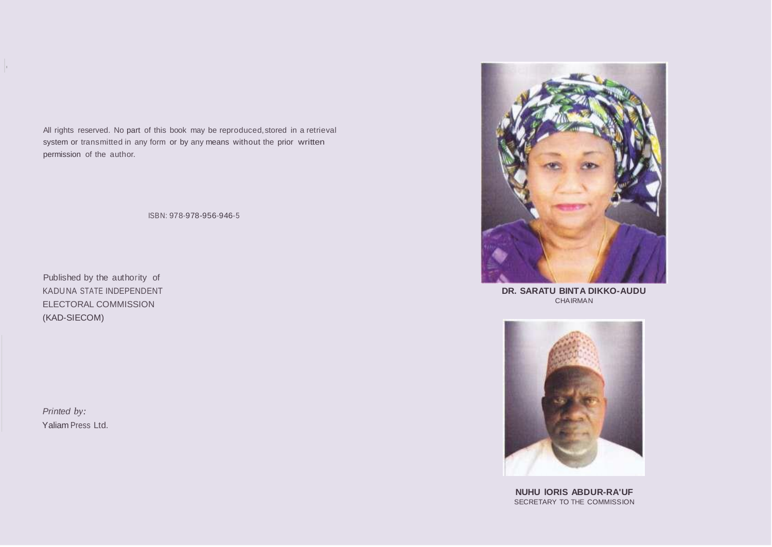All rights reserved. No part of this book may be reproduced,stored in a retrieval system or transmitted in any form or by any means without the prior written permission of the author.

ISBN: 978-978-956-946-5

Published by the authority of KADUNA STATE INDEPENDENT ELECTORAL COMMISSION (KAD-SIECOM)

*Printed by:* Yaliam Press Ltd.

I·



**DR. SARATU BINTA DIKKO-AUDU** CHAIRMAN



**NUHU lORIS ABDUR-RA'UF** SECRETARY TO THE COMMISSION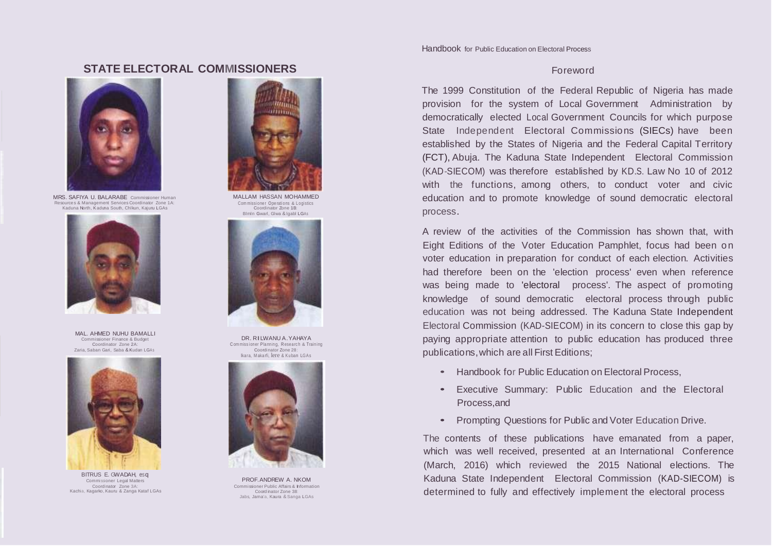# **STATE ELECTORAL COMMISSIONERS Example 20 AU 2012 12:30 To Express 12:40 AU 2013 12:40 Foreword**



MRS. SAFIYA U. BALARABE Commissioner Human Resource s & Management Services Coordinator Zone 1A: Kaduna North, Kaduna South, Chlkun, Kajuru LGAs



MAL. AHMED NUHU BAMALLI Commissioner Finance & Budget Coordinator Zone 2A: Zaria, Saban Gari, Saba & Kudan LGAs



BITRUS E. GWADAH, esq Commissioner Legal Matters Coordinator Zone 3A: Kachia, Kagarko, Kauru & Zanga Kataf LGAs



MALLAM HASSAN MOHAMMED Com missioner Operations & Logistics Coordinator Zone 1B: Blmln Gwarl, Glwa & lgabl LGAs



DR. RILWANU A.YAHAYA C om miss ioner Planning, Research & Training Coordinator Zone 28: lka ra, <sup>M</sup> akarfi, lere & Kuban LGAs



PROF.ANDREW A. NKOM Commissioner Public Affairs & Information Coord inator Zone 38: Jabs, Jama'a, Kaura &Sanga LGAs

Handbook for Public Education on Electoral Process

The 1999 Constitution of the Federal Republic of Nigeria has made provision for the system of Local Government Administration by democratically elected Local Government Councils for which purpose State Independent Electoral Commissions (SIECs) have been established by the States of Nigeria and the Federal Capital Territory (FCT), Abuja. The Kaduna State Independent Electoral Commission (KAD-SIECOM) was therefore established by KD.S. Law No 10 of 2012 with the functions, among others, to conduct voter and civic education and to promote knowledge of sound democratic electoral process.

A review of the activities of the Commission has shown that, with Eight Editions of the Voter Education Pamphlet, focus had been on voter education in preparation for conduct of each election. Activities had therefore been on the 'election process' even when reference was being made to 'electoral process'. The aspect of promoting knowledge of sound democratic electoral process through public education was not being addressed. The Kaduna State Independent Electoral Commission (KAD-SIECOM) in its concern to close this gap by paying appropriate attention to public education has produced three publications,which are all First Editions;

- Handbook for Public Education on Electoral Process,
- Executive Summary: Public Education and the Electoral Process,and
- Prompting Questions for Public and Voter Education Drive.

The contents of these publications have emanated from a paper, which was well received, presented at an International Conference (March, 2016) which reviewed the 2015 National elections. The Kaduna State Independent Electoral Commission (KAD-SIECOM) is determined to fully and effectively implement the electoral process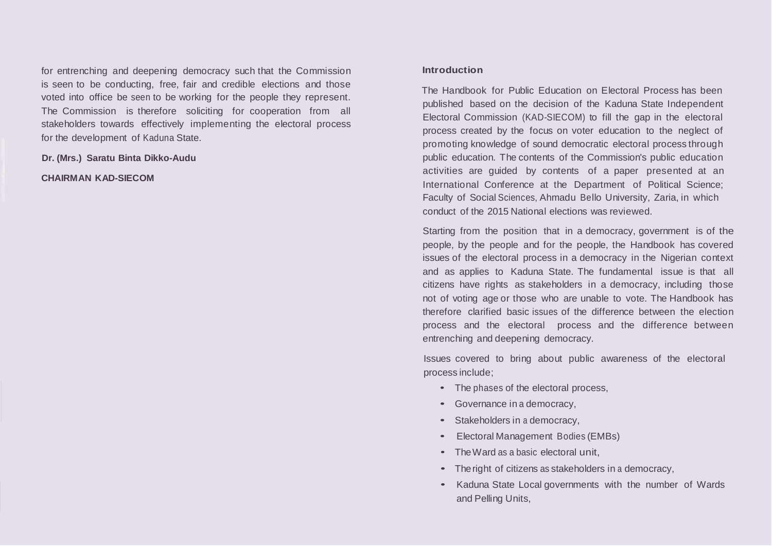for entrenching and deepening democracy such that the Commission is seen to be conducting, free, fair and credible elections and those voted into office be seen to be working for the people they represent. The Commission is therefore soliciting for cooperation from all stakeholders towards effectively implementing the electoral process for the development of Kaduna State.

**Dr. (Mrs.) Saratu Binta Dikko-Audu**

**CHAIRMAN KAD-SIECOM**

## **Introduction**

The Handbook for Public Education on Electoral Process has been published based on the decision of the Kaduna State Independent Electoral Commission (KAD-SIECOM) to fill the gap in the electoral process created by the focus on voter education to the neglect of promoting knowledge of sound democratic electoral process through public education. The contents of the Commission's public education activities are guided by contents of a paper presented at an International Conference at the Department of Political Science; Faculty of Social Sciences, Ahmadu Bello University, Zaria, in which conduct of the 2015 National elections was reviewed.

Starting from the position that in a democracy, government is of the people, by the people and for the people, the Handbook has covered issues of the electoral process in a democracy in the Nigerian context and as applies to Kaduna State. The fundamental issue is that all citizens have rights as stakeholders in a democracy, including those not of voting age or those who are unable to vote. The Handbook has therefore clarified basic issues of the difference between the election process and the electoral process and the difference between entrenching and deepening democracy.

Issues covered to bring about public awareness of the electoral process include;

- The phases of the electoral process,
- Governance in <sup>a</sup> democracy,
- Stakeholders in a democracy,
- Electoral Management Bodies (EMBs)
- The Ward as a basic electoral unit.
- The right of citizens as stakeholders in a democracy,
- Kaduna State Local governments with the number of Wards and Pelling Units,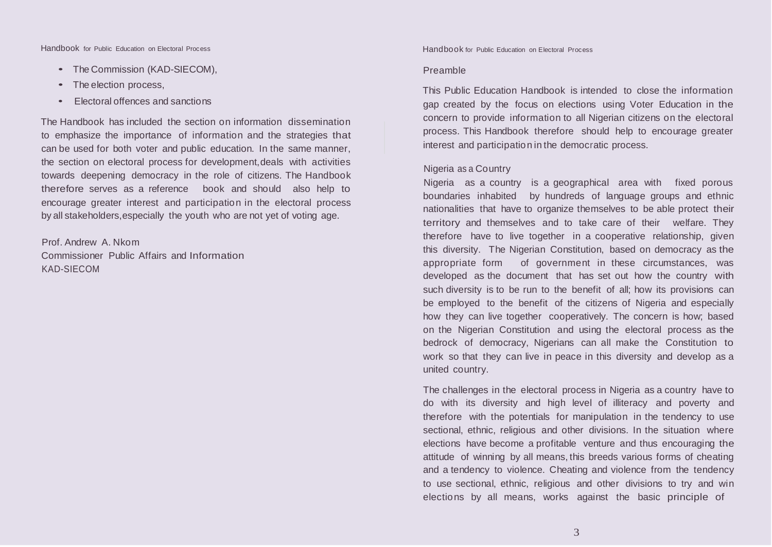Handbook for Public Education on Electoral Process Handbook for Public Education on Electoral Process

- The Commission (KAD-SIECOM),
- The election process,
- Electoral offences and sanctions

The Handbook has included the section on information dissemination to emphasize the importance of information and the strategies that can be used for both voter and public education. In the same manner, the section on electoral process for development,deals with activities towards deepening democracy in the role of citizens. The Handbook therefore serves as a reference book and should also help to encourage greater interest and participation in the electoral process by all stakeholders,especially the youth who are not yet of voting age.

Prof. Andrew A. Nkom Commissioner Public Affairs and Information KAD-SIECOM

#### Preamble

This Public Education Handbook is intended to close the information gap created by the focus on elections using Voter Education in the concern to provide information to all Nigerian citizens on the electoral process. This Handbook therefore should help to encourage greater interest and participation in the democratic process.

## Nigeria as a Country

Nigeria as a country is a geographical area with fixed porous boundaries inhabited by hundreds of language groups and ethnic nationalities that have to organize themselves to be able protect their territory and themselves and to take care of their welfare. They therefore have to live together in a cooperative relationship, given this diversity. The Nigerian Constitution, based on democracy as the appropriate form of government in these circumstances, was developed as the document that has set out how the country with such diversity is to be run to the benefit of all; how its provisions can be employed to the benefit of the citizens of Nigeria and especially how they can live together cooperatively. The concern is how; based on the Nigerian Constitution and using the electoral process as the bedrock of democracy, Nigerians can all make the Constitution to work so that they can live in peace in this diversity and develop as a united country.

The challenges in the electoral process in Nigeria as a country have to do with its diversity and high level of illiteracy and poverty and therefore with the potentials for manipulation in the tendency to use sectional, ethnic, religious and other divisions. In the situation where elections have become a profitable venture and thus encouraging the attitude of winning by all means, this breeds various forms of cheating and a tendency to violence. Cheating and violence from the tendency to use sectional, ethnic, religious and other divisions to try and win elections by all means, works against the basic principle of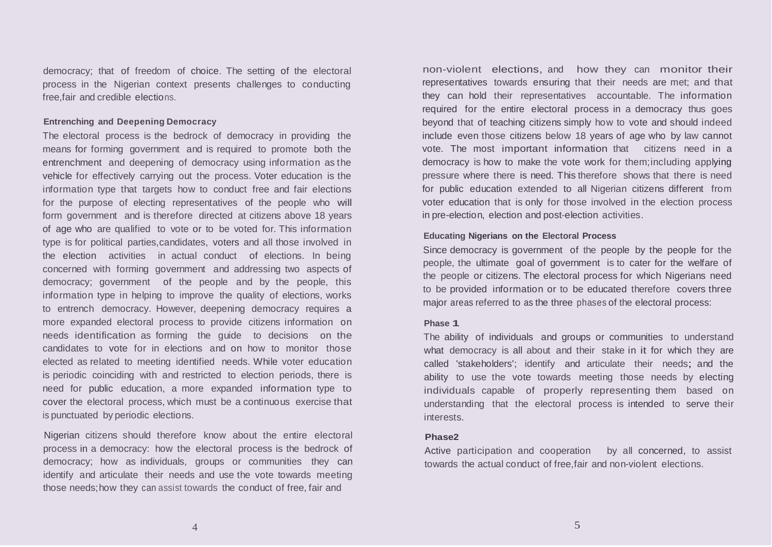democracy; that of freedom of choice. The setting of the electoral process in the Nigerian context presents challenges to conducting free,fair and credible elections.

## **Entrenching and Deepening Democracy**

The electoral process is the bedrock of democracy in providing the means for forming government and is required to promote both the entrenchment and deepening of democracy using information as the vehicle for effectively carrying out the process. Voter education is the information type that targets how to conduct free and fair elections for the purpose of electing representatives of the people who will form government and is therefore directed at citizens above 18 years of age who are qualified to vote or to be voted for. This information type is for political parties,candidates, voters and all those involved in the election activities in actual conduct of elections. In being concerned with forming government and addressing two aspects of democracy; government of the people and by the people, this information type in helping to improve the quality of elections, works to entrench democracy. However, deepening democracy requires a more expanded electoral process to provide citizens information on needs identification as forming the guide to decisions on the candidates to vote for in elections and on how to monitor those elected as related to meeting identified needs. While voter education is periodic coinciding with and restricted to election periods, there is need for public education, a more expanded information type to cover the electoral process, which must be a continuous exercise that is punctuated by periodic elections.

Nigerian citizens should therefore know about the entire electoral process in a democracy: how the electoral process is the bedrock of democracy; how as individuals, groups or communities they can identify and articulate their needs and use the vote towards meeting those needs;how they can assist towards the conduct of free, fair and

non-violent elections, and how they can monitor their representatives towards ensuring that their needs are met; and that they can hold their representatives accountable. The information required for the entire electoral process in a democracy thus goes beyond that of teaching citizens simply how to vote and should indeed include even those citizens below 18 years of age who by law cannot vote. The most important information that citizens need in a democracy is how to make the vote work for them;including applying pressure where there is need. This therefore shows that there is need for public education extended to all Nigerian citizens different from voter education that is only for those involved in the election process in pre-election, election and post-election activities.

## **Educating Nigerians on the Electoral Process**

Since democracy is government of the people by the people for the people, the ultimate goal of government is to cater for the welfare of the people or citizens. The electoral process for which Nigerians need to be provided information or to be educated therefore covers three major areas referred to as the three phases of the electoral process:

#### **Phase 1**

The ability of individuals and groups or communities to understand what democracy is all about and their stake in it for which they are called 'stakeholders'; identify and articulate their needs; and the ability to use the vote towards meeting those needs by electing individuals capable of properly representing them based on understanding that the electoral process is intended to serve their interests.

#### **Phase2**

Active participation and cooperation by all concerned, to assist towards the actual conduct of free,fair and non-violent elections.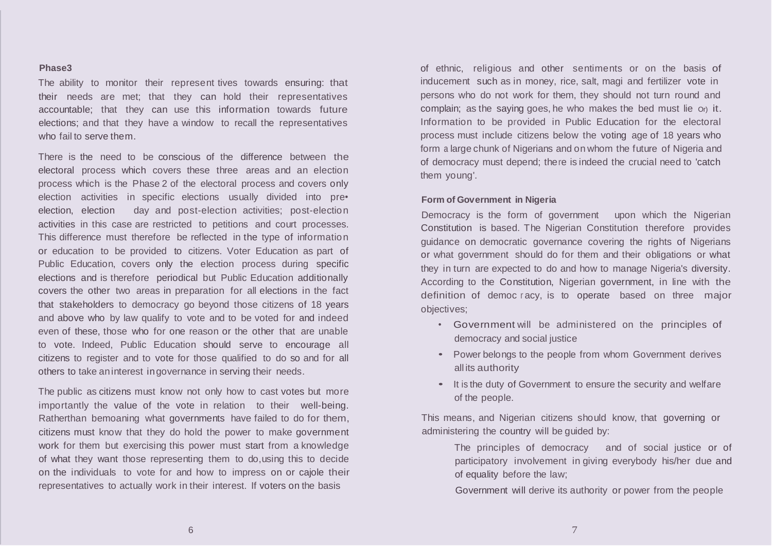#### **Phase3**

The ability to monitor their represent tives towards ensuring: that their needs are met; that they can hold their representatives accountable; that they can use this information towards future elections; and that they have a window to recall the representatives who fail to serve them.

There is the need to be conscious of the difference between the electoral process which covers these three areas and an election process which is the Phase 2 of the electoral process and covers only election activities in specific elections usually divided into pre• election, election day and post-election activities; post-election activities in this case are restricted to petitions and court processes. This difference must therefore be reflected in the type of information or education to be provided to citizens. Voter Education as part of Public Education, covers only the election process during specific elections and is therefore periodical but Public Education additionally covers the other two areas in preparation for all elections in the fact that stakeholders to democracy go beyond those citizens of 18 years and above who by law qualify to vote and to be voted for and indeed even of these, those who for one reason or the other that are unable to vote. Indeed, Public Education should serve to encourage all citizens to register and to vote for those qualified to do so and for all others to take aninterest ingovernance in serving their needs.

The public as citizens must know not only how to cast votes but more importantly the value of the vote in relation to their well-being. Ratherthan bemoaning what governments have failed to do for them, citizens must know that they do hold the power to make government work for them but exercising this power must start from a knowledge of what they want those representing them to do,using this to decide on the individuals to vote for and how to impress on or cajole their representatives to actually work in their interest. If voters on the basis

of ethnic, religious and other sentiments or on the basis of inducement such as in money, rice, salt, magi and fertilizer vote in persons who do not work for them, they should not turn round and complain; as the saying goes, he who makes the bed must lie Or) it. Information to be provided in Public Education for the electoral process must include citizens below the voting age of 18 years who form a large chunk of Nigerians and on whom the future of Nigeria and of democracy must depend; there is indeed the crucial need to 'catch them young'.

# **Form of Government in Nigeria**

Democracy is the form of government upon which the Nigerian Constitution is based. The Nigerian Constitution therefore provides guidance on democratic governance covering the rights of Nigerians or what government should do for them and their obligations or what they in turn are expected to do and how to manage Nigeria's diversity. According to the Constitution, Nigerian government, in line with the definition of democ racy, is to operate based on three major objectives;

- Government will be administered on the principles of democracy and social justice
- Power belongs to the people from whom Government derives all its authority
- It is the duty of Government to ensure the security and welfare of the people.

This means, and Nigerian citizens should know, that governing or administering the country will be guided by:

> The principles of democracy and of social justice or of participatory involvement in giving everybody his/her due and of equality before the law;

Government will derive its authority or power from the people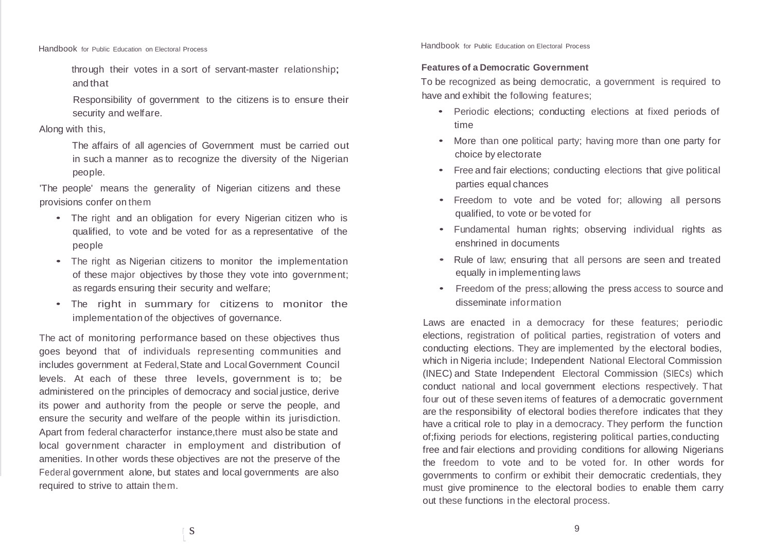through their votes in a sort of servant-master relationship; and that

Responsibility of government to the citizens is to ensure their security and welfare.

# Along with this,

The affairs of all agencies of Government must be carried out in such a manner as to recognize the diversity of the Nigerian people.

'The people' means the generality of Nigerian citizens and these provisions confer on them

- The right and an obligation for every Nigerian citizen who is qualified, to vote and be voted for as a representative of the people
- The right as Nigerian citizens to monitor the implementation of these major objectives by those they vote into government; as regards ensuring their security and welfare;
- The right in summary for citizens to monitor the implementation of the objectives of governance.

The act of monitoring performance based on these objectives thus goes beyond that of individuals representing communities and includes government at Federal,State and LocalGovernment Council levels. At each of these three levels, government is to; be administered on the principles of democracy and social justice, derive its power and authority from the people or serve the people, and ensure the security and welfare of the people within its jurisdiction. Apart from federal characterfor instance,there must also be state and local government character in employment and distribution of amenities. In other words these objectives are not the preserve of the Federal government alone, but states and local governments are also required to strive to attain them.

Handbook for Public Education on Electoral Process

# **Features of a Democratic Government**

To be recognized as being democratic, a government is required to have and exhibit the following features;

- Periodic elections; conducting elections at fixed periods. of time
- More than one political party; having more than one party for choice by electorate
- Free and fair elections; conducting elections that give political parties equal chances
- Freedom to vote and be voted for; allowing all persons qualified, to vote or be voted for
- Fundamental human rights; observing individual rights as enshrined in documents
- Rule of law; ensuring that all persons are seen and treated equally in implementing laws
- Freedom of the press;allowing the press access to source and disseminate information

Laws are enacted in a democracy for these features; periodic elections, registration of political parties, registration of voters and conducting elections. They are implemented by the electoral bodies, which in Nigeria include; Independent National Electoral Commission (INEC) and State Independent Electoral Commission (SIECs) which conduct national and local government elections respectively. That four out of these seven items of features of a democratic government are the responsibility of electoral bodies therefore indicates that they have a critical role to play in a democracy. They perform the function of;fixing periods for elections, registering political parties,conducting free and fair elections and providing conditions for allowing Nigerians the freedom to vote and to be voted for. In other words for governments to confirm or exhibit their democratic credentials, they must give prominence to the electoral bodies to enable them carry out these functions in the electoral process.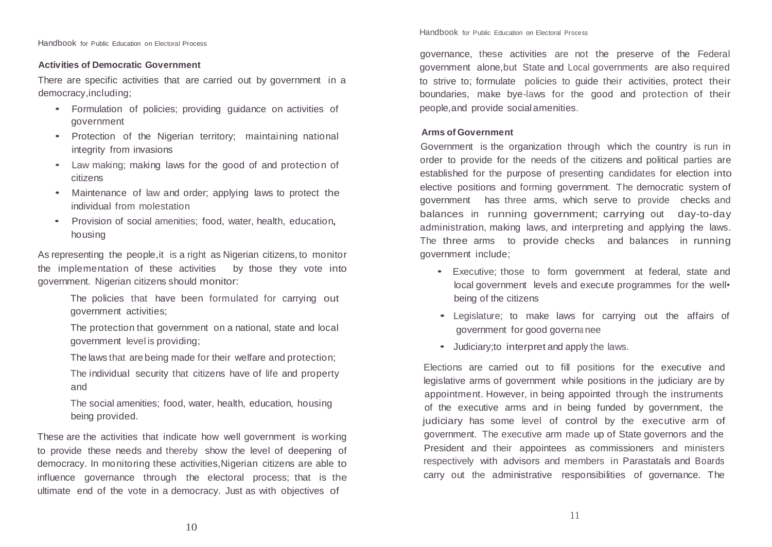# **Activities of Democratic Government**

There are specific activities that are carried out by government in a democracy,including;

- Formulation of policies; providing guidance on activities of government
- Protection of the Nigerian territory; maintaining national integrity from invasions
- Law making; making laws for the good of and protection of citizens
- Maintenance of law and order; applying laws to protect the individual from molestation
- Provision of social amenities; food, water, health, education, housing

As representing the people,it is a right as Nigerian citizens, to monitor the implementation of these activities by those they vote into government. Nigerian citizens should monitor:

> The policies that have been formulated for carrying out government activities;

> The protection that government on a national, state and local government level is providing;

> The laws that are being made for their welfare and protection;

The individual security that citizens have of life and property and

The social amenities; food, water, health, education, housing being provided.

These are the activities that indicate how well government is working to provide these needs and thereby show the level of deepening of democracy. In monitoring these activities,Nigerian citizens are able to influence governance through the electoral process; that is the ultimate end of the vote in a democracy. Just as with objectives of

Handbook for Public Education on Electoral Process

governance, these activities are not the preserve of the Federal government alone,but State and Local governments are also required to strive to; formulate policies to guide their activities, protect their boundaries, make bye-laws for the good and protection of their people,and provide social amenities.

## **Arms of Government**

Government is the organization through which the country is run in order to provide for the needs of the citizens and political parties are established for the purpose of presenting candidates for election into elective positions and forming government. The democratic system of government has three arms, which serve to provide checks and balances in running government; carrying out day-to-day administration, making laws, and interpreting and applying the laws. The three arms to provide checks and balances in running government include;

- Executive; those to form government at federal, state and local government levels and execute programmes for the well• being of the citizens
- Legislature; to make laws for carrying out the affairs of government for good governa nee
- Judiciary;to interpret and apply the laws.

Elections are carried out to fill positions for the executive and legislative arms of government while positions in the judiciary are by appointment. However, in being appointed through the instruments of the executive arms and in being funded by government, the judiciary has some level of control by the executive arm of government. The executive arm made up of State governors and the President and their appointees as commissioners and ministers respectively with advisors and members in Parastatals and Boards carry out the administrative responsibilities of governance. The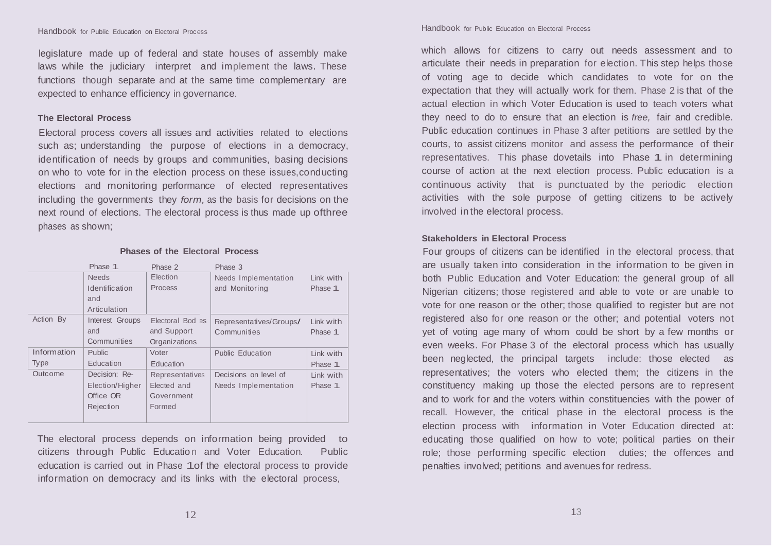legislature made up of federal and state houses of assembly make laws while the judiciary interpret and implement the laws. These functions though separate and at the same time complementary are expected to enhance efficiency in governance.

#### **The Electoral Process**

Electoral process covers all issues and activities related to elections such as; understanding the purpose of elections in a democracy, identification of needs by groups and communities, basing decisions on who to vote for in the election process on these issues,conducting elections and monitoring performance of elected representatives including the governments they *form,* as the basis for decisions on the next round of elections. The electoral process is thus made up ofthree phases as shown;

|             | Phase 1         | Phase 2          | Phase 3                 |           |
|-------------|-----------------|------------------|-------------------------|-----------|
|             | <b>Needs</b>    | Election         | Needs Implementation    | Link with |
|             | Identification  | Process          | and Monitoring          | Phase 1   |
|             | and             |                  |                         |           |
|             | Articulation    |                  |                         |           |
| Action By   | Interest Groups | Electoral Bod es | Representatives/Groups/ | Link with |
|             | and             | and Support      | Communities             | Phase 1   |
|             | Communities     | Organizations    |                         |           |
| Information | <b>Public</b>   | Voter            | Public Education        | Link with |
| <b>Type</b> | Education       | Education        |                         | Phase 1   |
| Outcome     | Decision: Re-   | Representatives  | Decisions on level of   | Link with |
|             | Election/Higher | Elected and      | Needs Implementation    | Phase 1   |
|             | Office OR       | Government       |                         |           |
|             | Rejection       | Formed           |                         |           |
|             |                 |                  |                         |           |

#### **Phases of the Electoral Process**

The electoral process depends on information being provided to citizens through Public Education and Voter Education. Public education is carried out in Phase 1of the electoral process to provide information on democracy and its links with the electoral process,

#### Handbook for Public Education on Electoral Process Handbook for Public Education on Electoral Process

which allows for citizens to carry out needs assessment and to articulate their needs in preparation for election. This step helps those of voting age to decide which candidates to vote for on the expectation that they will actually work for them. Phase 2 is that of the actual election in which Voter Education is used to teach voters what they need to do to ensure that an election is *free,* fair and credible. Public education continues in Phase 3 after petitions are settled by the courts, to assist citizens monitor and assess the performance of their representatives. This phase dovetails into Phase 1 in determining course of action at the next election process. Public education is a continuous activity that is punctuated by the periodic election activities with the sole purpose of getting citizens to be actively involved in the electoral process.

#### **Stakeholders in Electoral Process**

Four groups of citizens can be identified in the electoral process, that are usually taken into consideration in the information to be given in both Public Education and Voter Education: the general group of all Nigerian citizens; those registered and able to vote or are unable to vote for one reason or the other; those qualified to register but are not registered also for one reason or the other; and potential voters not yet of voting age many of whom could be short by a few months or even weeks. For Phase 3 of the electoral process which has usually been neglected, the principal targets include: those elected as representatives; the voters who elected them; the citizens in the constituency making up those the elected persons are to represent and to work for and the voters within constituencies with the power of recall. However, the critical phase in the electoral process is the election process with information in Voter Education directed at: educating those qualified on how to vote; political parties on their role; those performing specific election duties; the offences and penalties involved; petitions and avenues for redress.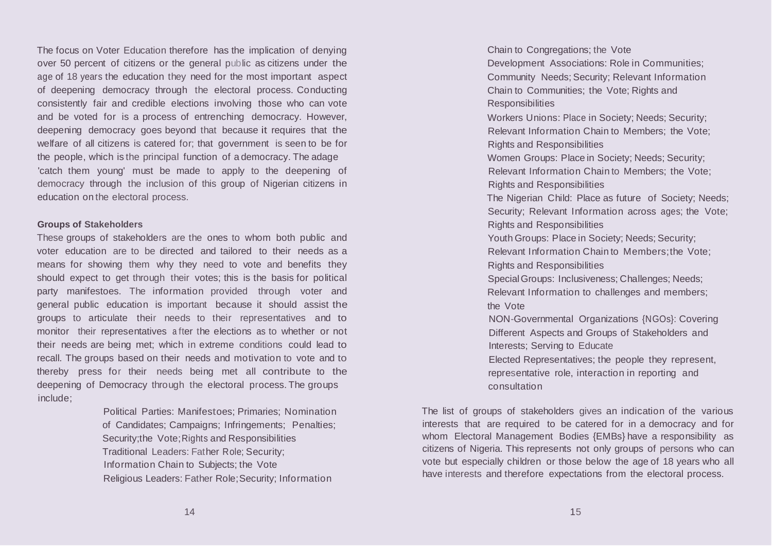The focus on Voter Education therefore has the implication of denying over 50 percent of citizens or the general public as citizens under the age of 18 years the education they need for the most important aspect of deepening democracy through the electoral process. Conducting consistently fair and credible elections involving those who can vote and be voted for is a process of entrenching democracy. However, deepening democracy goes beyond that because it requires that the welfare of all citizens is catered for; that government is seen to be for the people, which is the principal function of a democracy. The adage 'catch them young' must be made to apply to the deepening of democracy through the inclusion of this group of Nigerian citizens in education on the electoral process.

## **Groups of Stakeholders**

These groups of stakeholders are the ones to whom both public and voter education are to be directed and tailored to their needs as a means for showing them why they need to vote and benefits they should expect to get through their votes; this is the basis for political party manifestoes. The information provided through voter and general public education is important because it should assist the groups to articulate their needs to their representatives and to monitor their representatives a fter the elections as to whether or not their needs are being met; which in extreme conditions could lead to recall. The groups based on their needs and motivation to vote and to thereby press for their needs being met all contribute to the deepening of Democracy through the electoral process. The groups include;

> Political Parties: Manifestoes; Primaries; Nomination of Candidates; Campaigns; Infringements; Penalties; Security;the Vote;Rights and Responsibilities Traditional Leaders: Father Role; Security; Information Chain to Subjects; the Vote Religious Leaders: Father Role;Security; Information

Chain to Congregations; the Vote Development Associations: Role in Communities; Community Needs; Security; Relevant Information Chain to Communities; the Vote; Rights and Responsibilities Workers Unions: Place in Society; Needs; Security·; Relevant Information Chain to Members; the Vote; Rights and Responsibilities Women Groups: Place in Society; Needs; Security; Relevant Information Chain to Members; the Vote; Rights and Responsibilities The Nigerian Child: Place as future of Society; Needs; Security; Relevant Information across ages; the Vote; Rights and Responsibilities Youth Groups: Place in Society; Needs; Security; Relevant Information Chain to Members;the Vote; Rights and Responsibilities SpecialGroups: Inclusiveness; Challenges; Needs; Relevant Information to challenges and members; the Vote NON-Governmental Organizations {NGOs}: Covering Different Aspects and Groups of Stakeholders and Interests; Serving to Educate Elected Representatives; the people they represent, representative role, interaction in reporting and consultation

The list of groups of stakeholders gives an indication of the various interests that are required to be catered for in a democracy and for whom Electoral Management Bodies {EMBs} have a responsibility as citizens of Nigeria. This represents not only groups of persons who can vote but especially children or those below the age of 18 years who all have interests and therefore expectations from the electoral process.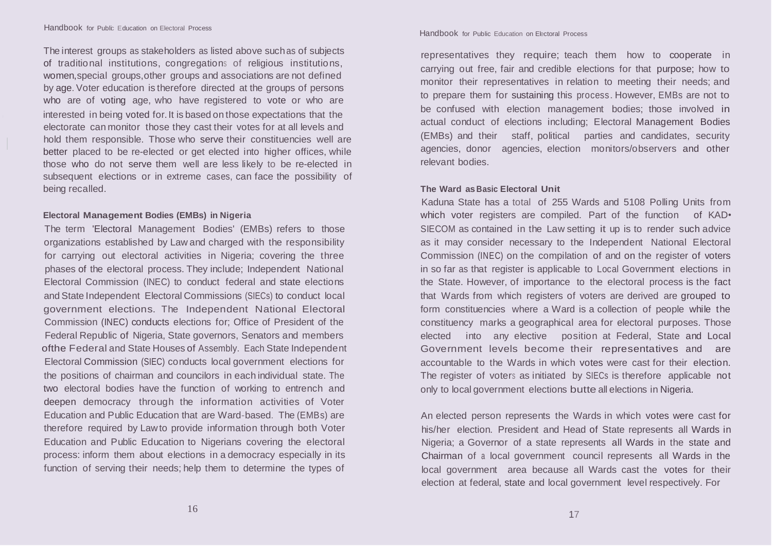The interest groups as stakeholders as listed above suchas of subjects of traditional institutions, congregations of religious institutions, women,special groups,other groups and associations are not defined by age. Voter education is therefore directed at the groups of persons who are of voting age, who have registered to vote or who are interested in being voted for.It is based on those expectations that the electorate can monitor those they cast their votes for at all levels and hold them responsible. Those who serve their constituencies well are better placed to be re-elected or get elected into higher offices, while those who do not serve them well are less likely to be re-elected in subsequent elections or in extreme cases, can face the possibility of being recalled.

# **Electoral Management Bodies (EMBs) in Nigeria**

The term 'Electoral Management Bodies' (EMBs) refers to those organizations established by Law and charged with the responsibility for carrying out electoral activities in Nigeria; covering the three phases of the electoral process. They include; Independent National Electoral Commission (INEC) to conduct federal and state elections and State Independent Electoral Commissions (SIECs) to conduct local government elections. The Independent National Electoral Commission (INEC) conducts elections for; Office of President of the Federal Republic of Nigeria, State governors, Senators and members ofthe Federal and State Houses of Assembly. Each State Independent Electoral Commission (SIEC) conducts local government elections for the positions of chairman and councilors in each individual state. The two electoral bodies have the function of working to entrench and deepen democracy through the information activities of Voter Education and Public Education that are Ward-based. The (EMBs) are therefore required by Lawto provide information through both Voter Education and Public Education to Nigerians covering the electoral process: inform them about elections in a democracy especially in its function of serving their needs; help them to determine the types of

#### Handbook for Public Education on Electoral Process

representatives they require; teach them how to cooperate in carrying out free, fair and credible elections for that purpose; how to monitor their representatives in relation to meeting their needs; and to prepare them for sustaining this process. However, EMBs are not to be confused with election management bodies; those involved in actual conduct of elections including; Electoral Management Bodies (EMBs) and their staff, political parties and candidates, security agencies, donor agencies, election monitors/observers and other relevant bodies.

## **The Ward as Basic Electoral Unit**

Kaduna State has a total of 255 Wards and 5108 Polling Units from which voter registers are compiled. Part of the function of KAD. SIECOM as contained in the Law setting it up is to render such advice as it may consider necessary to the Independent National Electoral Commission (INEC) on the compilation of and on the register of voters in so far as that register is applicable to Local Government elections in the State. However, of importance to the electoral process is the fact that Wards from which registers of voters are derived are grouped to form constituencies where a Ward is a collection of people while the constituency marks a geographical area for electoral purposes. Those elected into any elective position at Federal, State and Local Government levels become their representatives and are accountable to the Wards in which votes were cast for their election. The register of voters as initiated by SIECs is therefore applicable not only to local government elections butte all elections in Nigeria.

An elected person represents the Wards in which votes were cast for his/her election. President and Head of State represents all Wards in Nigeria; a Governor of a state represents all Wards in the state and Chairman of <sup>a</sup> local government council represents all Wards in the local government area because all Wards cast the votes for their election at federal, state and local government level respectively. For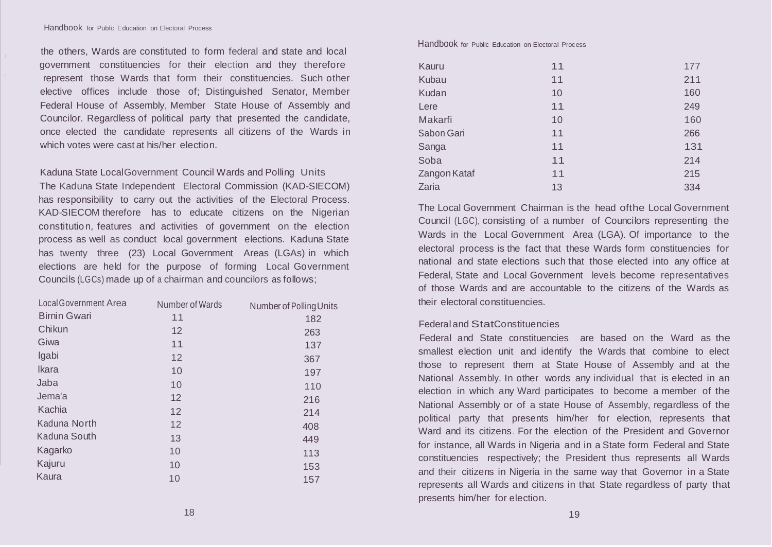the others, Wards are constituted to form federal and state and local ' government constituencies for their election and they therefore represent those Wards that form their constituencies. Such other elective offices include those of; Distinguished Senator, Member Federal House of Assembly, Member State House of Assembly and Councilor. Regardless of political party that presented the candidate, once elected the candidate represents all citizens of the Wards in which votes were cast at his/her election

Kaduna State LocalGovernment Council Wards and Polling Units

The Kaduna State Independent Electoral Commission (KAD-SIECOM) has responsibility to carry out the activities of the Electoral Process. KAD-SIECOM therefore has to educate citizens on the Nigerian constitution, features and activities of government on the election process as well as conduct local government elections. Kaduna State has twenty three (23) Local Government Areas (LGAs) in which elections are held for the purpose of forming Local Government Councils (LGCs) made up of a chairman and councilors as follows;

| <b>Local Government Area</b> | Number of Wards | Number of Polling Units |
|------------------------------|-----------------|-------------------------|
| <b>Birnin Gwari</b>          | 11              | 182                     |
| Chikun                       | 12              | 263                     |
| Giwa                         | 11              | 137                     |
| Igabi                        | 12              | 367                     |
| Ikara                        | 10              | 197                     |
| Jaba                         | 10              | 110                     |
| Jema'a                       | 12              | 216                     |
| Kachia                       | 12              | 214                     |
| Kaduna North                 | 12              | 408                     |
| Kaduna South                 | 13              | 449                     |
| Kagarko                      | 10              | 113                     |
| Kajuru                       | 10              | 153                     |
| Kaura                        | 10              | 157                     |

Handbook for Public Education on Electoral Process

| Kauru        | 11 | 177 |
|--------------|----|-----|
| Kubau        | 11 | 211 |
| Kudan        | 10 | 160 |
| Lere         | 11 | 249 |
| Makarfi      | 10 | 160 |
| Sabon Gari   | 11 | 266 |
| Sanga        | 11 | 131 |
| Soba         | 11 | 214 |
| Zangon Kataf | 11 | 215 |
| Zaria        | 13 | 334 |

The Local Government Chairman is the head ofthe Local Government Council (LGC), consisting of a number of Councilors representing the Wards in the Local Government Area (LGA). Of importance to the electoral process is the fact that these Wards form constituencies for national and state elections such that those elected into any office at Federal, State and Local Government levels become representatives of those Wards and are accountable to the citizens of the Wards as their electoral constituencies.

# Federal and StatConstituencies

Federal and State constituencies are based on the Ward as the smallest election unit and identify the Wards that combine to elect those to represent them at State House of Assembly and at the National Assembly. In other words any individual that is elected in an election in which any Ward participates to become a member of the National Assembly or of a state House of Assembly, regardless of the political party that presents him/her for election, represents that Ward and its citizens. For the election of the President and Governor for instance, all Wards in Nigeria and in a State form Federal and State constituencies respectively; the President thus represents all Wards and their citizens in Nigeria in the same way that Governor in a State represents all Wards and citizens in that State regardless of party that presents him/her for election.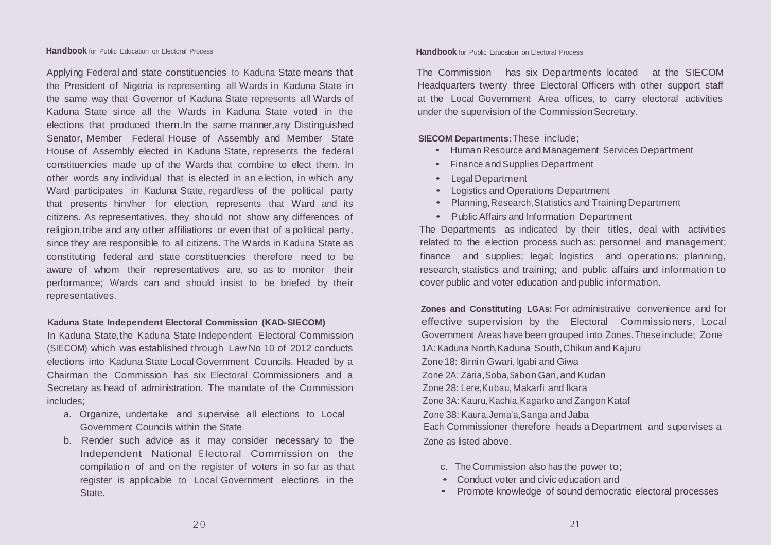Applying Federal and state constituencies to Kaduna State means that the President of Nigeria is representing all Wards in Kaduna State in the same way that Governor of Kaduna State represents all Wards of Kaduna State since all the Wards in Kaduna State voted in the elections that produced them.ln the same manner,any Distinguished Senator, Member Federal House of Assembly and Member State House of Assembly elected in Kaduna State, represents the federal constituencies made up of the Wards that combine to elect them. In other words any individual that is elected in an election, in which any Ward participates in Kaduna State, regardless of the political party that presents him/her for election, represents that Ward and its citizens. As representatives, they should not show any differences of religion,tribe and any other affiliations or even that of a political party, since they are responsible to all citizens. The Wards in Kaduna State as constituting federal and state constituencies therefore need to be aware of whom their representatives are, so as to monitor their performance; Wards can and should insist to be briefed by their representatives.

# **Kaduna State Independent Electoral Commission (KAD-SIECOM)**

In Kaduna State,the Kaduna State Independent Electoral Commission (SIECOM) which was established through Law No 10 of 2012 conducts elections into Kaduna State Local Government Councils. Headed by a Chairman the Commission has six Electoral Commissioners and a Secretary as head of administration. The mandate of the Commission includes;

- a. Organize, undertake and supervise all elections to Local Government Councils within the State
- b. Render such advice as it may consider necessary to the Independent National <sup>E</sup> lectoral Commission on the compilation of and on the register of voters in so far as that register is applicable to Local Government elections in the State.

The Commission has six Departments located at the SIECOM Headquarters twenty three Electoral Officers with other support staff at the Local Government Area offices, to carry electoral activities under the supervision of the Commission Secretary.

**SIECOM Departments:**These include;

- Human Resource and Management Services Department
- Finance and Supplies Department
- Legal Department
- Logistics and Operations Department
- Planning,Research,Statistics and Training Department
- Public Affairs and Information Department

The Departments as indicated by their titles, deal with activities related to the election process such as: personnel and management; finance and supplies; legal; logistics and operations; planning, research, statistics and training; and public affairs and information to cover public and voter education and public information.

**Zones and Constituting LGAs:** For administrative convenience and for effective supervision by the Electoral Commissioners, Local Government Areas have been grouped into Zones. These include; Zone 1A: Kaduna North,Kaduna South,Chikun and Kajuru Zone 18: 8irnin Gwari, lgabi and Giwa Zone 2A: Zaria, Soba, Sabon Gari, and Kudan Zone 28: Lere,Kubau,Makarfi and lkara Zone 3A: Kauru, Kachia, Kagarko and Zangon Kataf Zone 38: Kaura,Jema'a,Sanga and Jaba Each Commissioner therefore heads a Department and supervises a Zone as listed above.

- c. TheCommission also has the power to;
- Conduct voter and civic education and
- Promote knowledge of sound democratic electoral processes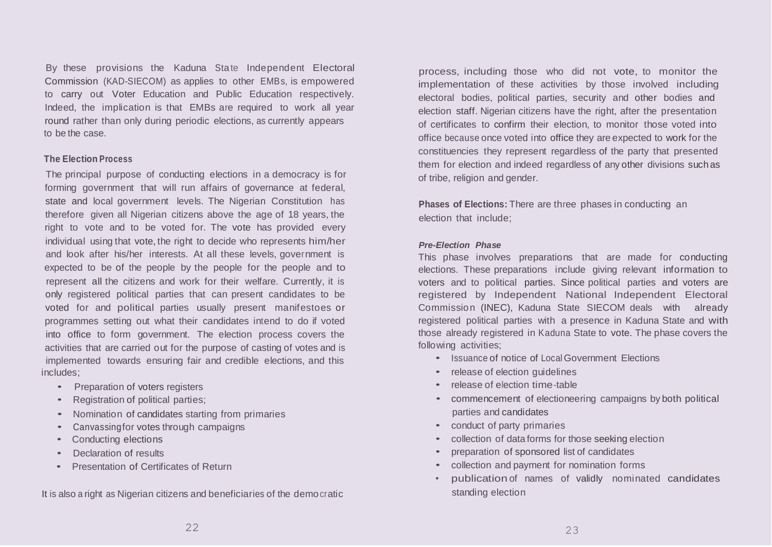By these provisions the Kaduna State Independent Electoral Commission (KAD-SIECOM) as applies to other EMBs, is empowered to carry out Voter Education and Public Education respectively. Indeed, the implication is that EMBs are required to work all year round rather than only during periodic elections, as currently appears to be the case.

# **The Election Process**

The principal purpose of conducting elections in a democracy is for forming government that will run affairs of governance at federal, state and local government levels. The Nigerian Constitution has therefore given all Nigerian citizens above the age of 18 years, the right to vote and to be voted for. The vote has provided every individual using that vote, the right to decide who represents him/her and look after his/her interests. At all these levels, government is expected to be of the people by the people for the people and to represent all the citizens and work for their welfare. Currently, it is only registered political parties that can present candidates to be voted for and political parties usually present manifestoes or programmes setting out what their candidates intend to do if voted into office to form government. The election process covers the activities that are carried out for the purpose of casting of votes and is implemented towards ensuring fair and credible elections, and this includes;

- Preparation of voters registers
- Registration of political parties;
- Nomination of candidates starting from primaries
- Canvassingfor votes through campaigns
- Conducting elections
- Declaration of results
- Presentation of Certificates of Return

It is also a right as Nigerian citizens and beneficiaries of the democratic

process, including those who did not vote, to monitor the implementation of these activities by those involved including electoral bodies, political parties, security and other bodies and election staff. Nigerian citizens have the right, after the presentation of certificates to confirm their election, to monitor those voted into office because once voted into office they are expected to work for the constituencies they represent regardless of the party that presented them for election and indeed regardless of any other divisions suchas of tribe, religion and gender.

**Phases of Elections:** There are three phases in conducting an election that include;

## *Pre-Election Phase*

This phase involves preparations that are made for conducting elections. These preparations include giving relevant information to voters and to political parties. Since political parties and voters are registered by Independent National Independent Electoral Commission (INEC), Kaduna State SIECOM deals with already registered political parties with a presence in Kaduna State and with those already registered in Kaduna State to vote. The phase covers the following activities;

- Issuance of notice of Local Government Elections
- release of election quidelines
- release of election time-table
- commencement of electioneering campaigns by both political parties and candidates
- conduct of party primaries
- collection of data forms for those seeking election
- preparation of sponsored list of candidates
- collection and payment for nomination forms
- publication of names of validly nominated candidates standing election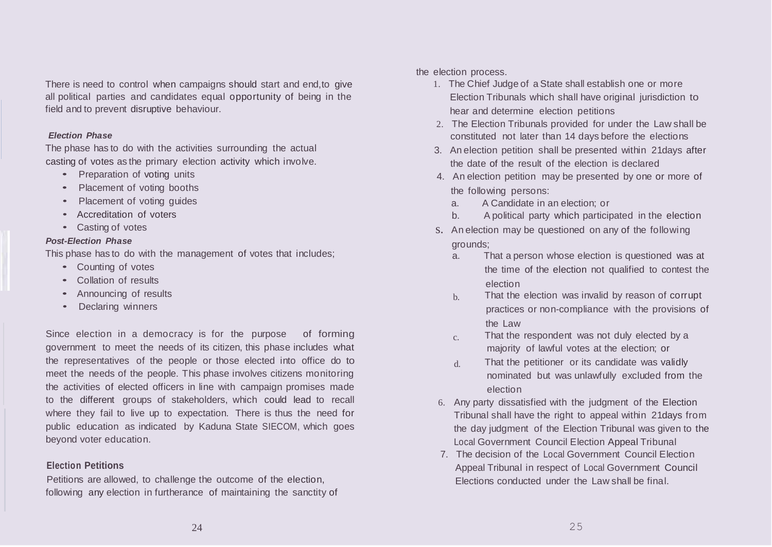There is need to control when campaigns should start and end,to give all political parties and candidates equal opportunity of being in the field and to prevent disruptive behaviour.

## *Election Phase*

The phase has to do with the activities surrounding the actual casting of votes as the primary election activity which involve.

- Preparation of voting units
- Placement of voting booths
- Placement of voting guides
- Accreditation of voters
- Casting of votes

#### *Post-Election Phase*

This phase has to do with the management of votes that includes;

- Counting of votes
- Collation of results
- Announcing of results
- Declaring winners

Since election in a democracy is for the purpose of forming government to meet the needs of its citizen, this phase includes what the representatives of the people or those elected into office do to meet the needs of the people. This phase involves citizens monitoring the activities of elected officers in line with campaign promises made to the different groups of stakeholders, which could lead to recall where they fail to live up to expectation. There is thus the need for public education as indicated by Kaduna State SIECOM, which goes beyond voter education.

## **Election Petitions**

Petitions are allowed, to challenge the outcome of the election, following any election in furtherance of maintaining the sanctity of the election process.

- 1. The Chief Judge of a State shall establish one or more Election Tribunals which shall have original jurisdiction to hear and determine election petitions
- 2. The Election Tribunals provided for under the Law shall be constituted not later than 14 days before the elections
- 3. An election petition shall be presented within 21days after the date of the result of the election is declared
- 4. An election petition may be presented by one or more of the following persons:
	- a. A Candidate in an election; or
	- b. A political party which participated in the election
- s. An election may be questioned on any of the following grounds;
	- a. That a person whose election is questioned was at the time of the election not qualified to contest the election
	- $h$  That the election was invalid by reason of corrupt practices or non-compliance with the provisions of the Law
	- $c.$  That the respondent was not duly elected by a majority of lawful votes at the election; or
	- d. That the petitioner or its candidate was validly nominated but was unlawfully excluded from the election
- 6. Any party dissatisfied with the judgment of the Election Tribunal shall have the right to appeal within 21days from the day judgment of the Election Tribunal was given to the Local Government Council Election Appeal Tribunal
- 7. The decision of the Local Government Council Election Appeal Tribunal in respect of Local Government Council Elections conducted under the Law shall be final.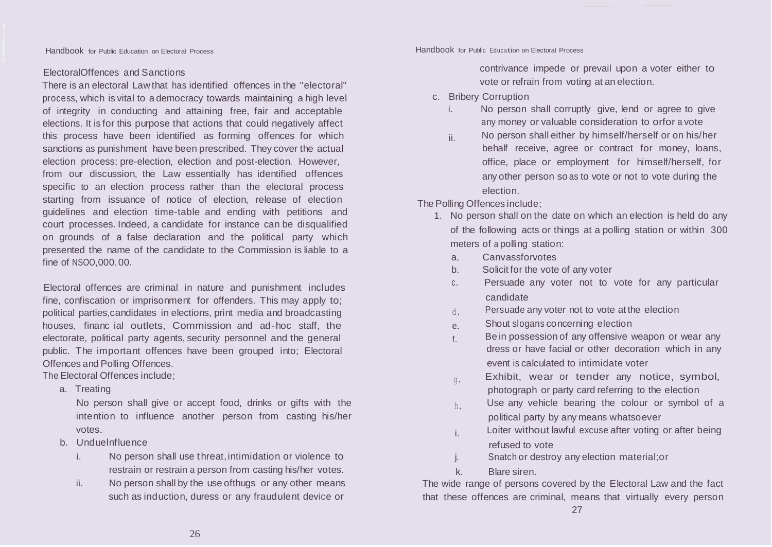# ElectoralOffences and Sanctions

There is an electoral Lawthat has identified offences in the "electoral" process, which is vital to a democracy towards maintaining a high level of integrity in conducting and attaining free, fair and acceptable elections. It is for this purpose that actions that could negatively affect this process have been identified as forming offences for which sanctions as punishment have been prescribed. They cover the actual election process; pre-election, election and post-election. However, from our discussion, the Law essentially has identified offences specific to an election process rather than the electoral process starting from issuance of notice of election, release of election guidelines and election time-table and ending with petitions and court processes. Indeed, a candidate for instance can be disqualified on grounds of a false declaration and the political party which presented the name of the candidate to the Commission is liable to a fine of NSOO,000.00.

Electoral offences are criminal in nature and punishment includes fine, confiscation or imprisonment for offenders. This may apply to; political parties,candidates in elections, print media and broadcasting houses, financ ial outlets, Commission and ad-hoc staff, the electorate, political party agents, security personnel and the general public. The important offences have been grouped into; Electoral Offences and Polling Offences.

The Electoral Offences include;

a. Treating

No person shall give or accept food, drinks or gifts with the intention to influence another person from casting his/her votes.

- b. Unduelnfluence
	- i. No person shall use threat, intimidation or violence to restrain or restrain a person from casting his/her votes.
	- ii. No person shall by the use ofthugs or any other means such as induction, duress or any fraudulent device or

Handbook for Public Education on Electoral Process Handbook for Public Education on Electoral Process

contrivance impede or prevail upon a voter either to vote or refrain from voting at an election.

- c. Bribery Corruption
	- i. No person shall corruptly give, lend or agree to give any money or valuable consideration to orfor a vote
	- ii. No person shall either by himself/herself or on his/her behalf receive, agree or contract for money, loans, office, place or employment for himself/herself, for any other person so as to vote or not to vote during the election.

The Polling Offences include;

- 1. No person shall on the date on which an election is held do any of the following acts or things at a polling station or within 300 meters of a polling station:
	- a. Canvassforvotes
	- b. Solicit for the vote of any voter
	- c. Persuade any voter not to vote for any particular candidate
	- $d$ . Persuade any voter not to vote at the election
	- e. Shout slogans concerning election
	- $f_{\rm f}$  Be in possession of any offensive weapon or wear any dress or have facial or other decoration which in any event is calculated to intimidate voter
	- $_{q}$ . Exhibit, wear or tender any notice, symbol, photograph or party card referring to the election
	- $h$ . Use any vehicle bearing the colour or symbol of a political party by any means whatsoever
	- i. Loiter without lawful excuse after voting or after being refused to vote
	- j. Snatch or destroy any election material;or
	- k. Blare siren.

The wide range of persons covered by the Electoral Law and the fact that these offences are criminal, means that virtually every person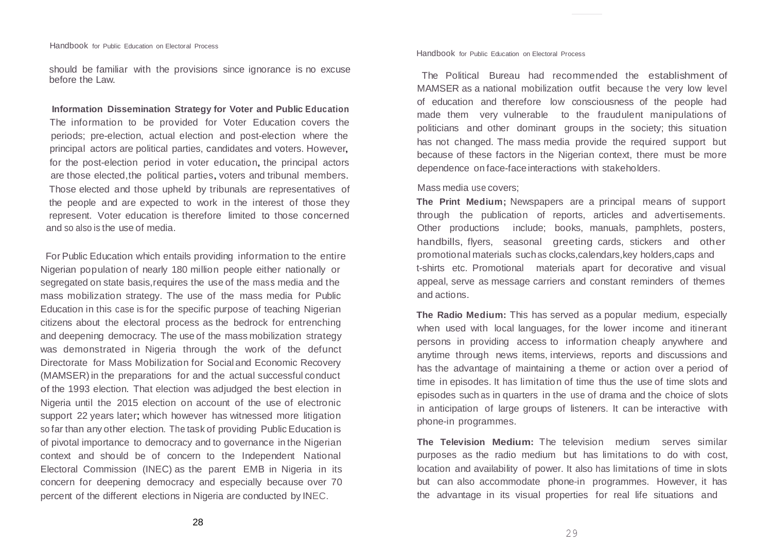should be familiar with the provisions since ignorance is no excuse before the Law.

**Information Dissemination Strategy for Voter and Public Education**  The information to be provided for Voter Education covers the periods; pre-election, actual election and post-election where the principal actors are political parties, candidates and voters. However, for the post-election period in voter education, the principal actors are those elected, the political parties, voters and tribunal members. Those elected and those upheld by tribunals are representatives of the people and are expected to work in the interest of those they represent. Voter education is therefore limited to those concerned and so also is the use of media.

For Public Education which entails providing information to the entire Nigerian population of nearly 180 million people either nationally or segregated on state basis,requires the use of the mass media and the mass mobilization strategy. The use of the mass media for Public Education in this case is for the specific purpose of teaching Nigerian citizens about the electoral process as the bedrock for entrenching and deepening democracy. The use of the mass mobilization strategy was demonstrated in Nigeria through the work of the defunct Directorate for Mass Mobilization for Social and Economic Recovery (MAMSER) in the preparations for and the actual successful conduct of the 1993 election. That election was adjudged the best election in Nigeria until the 2015 election on account of the use of electronic support 22 years later; which however has witnessed more litigation so far than any other election. The task of providing Public Education is of pivotal importance to democracy and to governance in the Nigerian context and should be of concern to the Independent National Electoral Commission (INEC) as the parent EMB in Nigeria in its concern for deepening democracy and especially because over 70 percent of the different elections in Nigeria are conducted by INEC.

Handbook for Public Education on Electoral Process

The Political Bureau had recommended the establishment of MAMSER as a national mobilization outfit because the very low level of education and therefore low consciousness of the people had made them very vulnerable to the fraudulent manipulations of politicians and other dominant groups in the society; this situation has not changed. The mass media provide the required support but because of these factors in the Nigerian context, there must be more dependence on face-faceinteractions with stakeholders.

## Mass media use covers;

**The Print Medium;** Newspapers are a principal means of support through the publication of reports, articles and advertisements. Other productions include; books, manuals, pamphlets, posters, handbills, flyers, seasonal greeting cards, stickers and other promotional materials suchas clocks,calendars,key holders,caps and t-shirts etc. Promotional materials apart for decorative and visual appeal, serve as message carriers and constant reminders of themes and actions.

**The Radio Medium:** This has served as a popular medium, especially when used with local languages, for the lower income and itinerant persons in providing access to information cheaply anywhere and anytime through news items, interviews, reports and discussions and has the advantage of maintaining a theme or action over a period of time in episodes. It has limitation of time thus the use of time slots and episodes such as in quarters in the use of drama and the choice of slots in anticipation of large groups of listeners. It can be interactive with phone-in programmes.

**The Television Medium:** The television medium serves similar purposes as the radio medium but has limitations to do with cost, location and availability of power. It also has limitations of time in slots but can also accommodate phone-in programmes. However, it has the advantage in its visual properties for real life situations and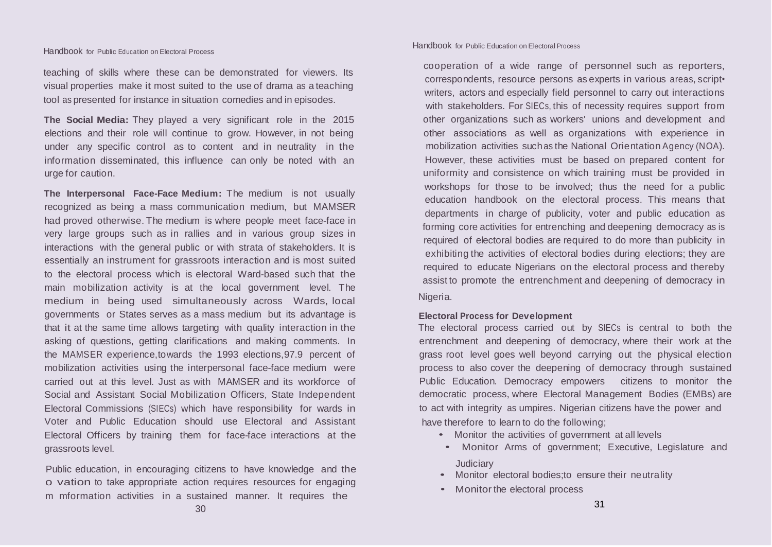teaching of skills where these can be demonstrated for viewers. Its visual properties make it most suited to the use of drama as a teaching tool as presented for instance in situation comedies and in episodes.

**The Social Media:** They played a very significant role in the 2015 elections and their role will continue to grow. However, in not being under any specific control as to content and in neutrality in the information disseminated, this influence can only be noted with an urge for caution.

**The Interpersonal Face-Face Medium:** The medium is not usually recognized as being a mass communication medium, but MAMSER had proved otherwise. The medium is where people meet face-face in very large groups such as in rallies and in various group sizes in interactions with the general public or with strata of stakeholders. It is essentially an instrument for grassroots interaction and is most suited to the electoral process which is electoral Ward-based such that the main mobilization activity is at the local government level. The medium in being used simultaneously across Wards, local governments or States serves as a mass medium but its advantage is that it at the same time allows targeting with quality interaction in the asking of questions, getting clarifications and making comments. In the MAMSER experience,towards the 1993 elections,97.9 percent of mobilization activities using the interpersonal face-face medium were carried out at this level. Just as with MAMSER and its workforce of Social and Assistant Social Mobilization Officers, State Independent Electoral Commissions (SIECs) which have responsibility for wards in Voter and Public Education should use Electoral and Assistant Electoral Officers by training them for face-face interactions at the grassroots level.

Public education, in encouraging citizens to have knowledge and the o vation to take appropriate action requires resources for engaging m mformation activities in a sustained manner. It requires the

### Handbook for Public Education on Electoral Process

cooperation of a wide range of personnel such as reporters, correspondents, resource persons as experts in various areas, script• writers, actors and especially field personnel to carry out interactions with stakeholders. For SIECs, this of necessity requires support from other organizations such as workers' unions and development and other associations as well as organizations with experience in mobilization activities suchas the National Orientation Agency (NOA). However, these activities must be based on prepared content for uniformity and consistence on which training must be provided in workshops for those to be involved; thus the need for a public education handbook on the electoral process. This means that departments in charge of publicity, voter and public education as forming core activities for entrenching and deepening democracy as is required of electoral bodies are required to do more than publicity in exhibiting the activities of electoral bodies during elections; they are required to educate Nigerians on the electoral process and thereby assist to promote the entrenchment and deepening of democracy in Nigeria.

## **Electoral Process for Development**

The electoral process carried out by SIECs is central to both the entrenchment and deepening of democracy, where their work at the grass root level goes well beyond carrying out the physical election process to also cover the deepening of democracy through sustained Public Education. Democracy empowers citizens to monitor the democratic process, where Electoral Management Bodies (EMBs) are to act with integrity as umpires. Nigerian citizens have the power and have therefore to learn to do the following;

- Monitor the activities of government at all levels
- Monitor Arms of government; Executive, Legislature and **Judiciary**
- Monitor electoral bodies;to ensure their neutrality
- Monitor the electoral process